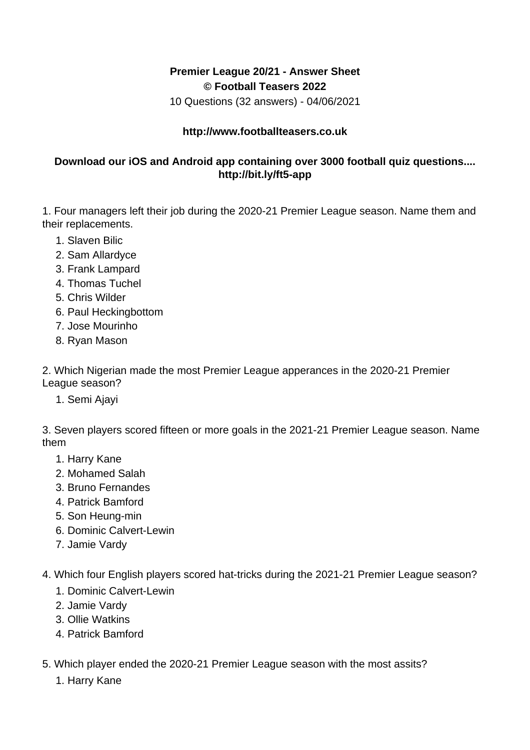## **Premier League 20/21 - Answer Sheet © Football Teasers 2022**

10 Questions (32 answers) - 04/06/2021

## **http://www.footballteasers.co.uk**

## **Download our iOS and Android app containing over 3000 football quiz questions.... http://bit.ly/ft5-app**

1. Four managers left their job during the 2020-21 Premier League season. Name them and their replacements.

- 1. Slaven Bilic
- 2. Sam Allardyce
- 3. Frank Lampard
- 4. Thomas Tuchel
- 5. Chris Wilder
- 6. Paul Heckingbottom
- 7. Jose Mourinho
- 8. Ryan Mason

2. Which Nigerian made the most Premier League apperances in the 2020-21 Premier League season?

1. Semi Ajayi

3. Seven players scored fifteen or more goals in the 2021-21 Premier League season. Name them

- 1. Harry Kane
- 2. Mohamed Salah
- 3. Bruno Fernandes
- 4. Patrick Bamford
- 5. Son Heung-min
- 6. Dominic Calvert-Lewin
- 7. Jamie Vardy

4. Which four English players scored hat-tricks during the 2021-21 Premier League season?

- 1. Dominic Calvert-Lewin
- 2. Jamie Vardy
- 3. Ollie Watkins
- 4. Patrick Bamford
- 5. Which player ended the 2020-21 Premier League season with the most assits?
	- 1. Harry Kane